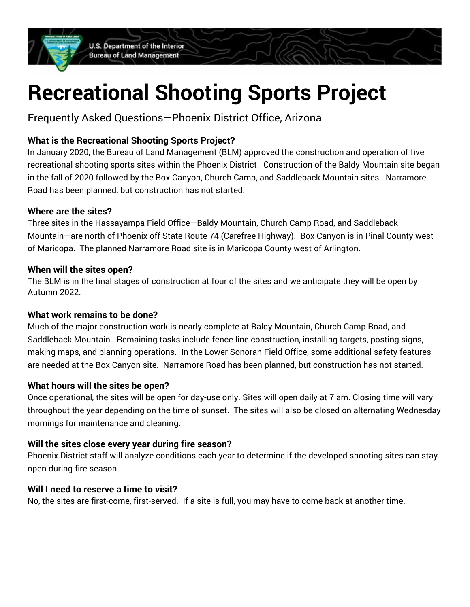U.S. Department of the Interior **Bureau of Land Management** 

# **Recreational Shooting Sports Project**

Frequently Asked Questions—Phoenix District Office, Arizona

# **What is the Recreational Shooting Sports Project?**

 In January 2020, the Bureau of Land Management (BLM) approved the construction and operation of five recreational shooting sports sites within the Phoenix District. Construction of the Baldy Mountain site began in the fall of 2020 followed by the Box Canyon, Church Camp, and Saddleback Mountain sites. Narramore Road has been planned, but construction has not started.

# **Where are the sites?**

 Three sites in the Hassayampa Field Office—Baldy Mountain, Church Camp Road, and Saddleback Mountain—are north of Phoenix off State Route 74 (Carefree Highway). Box Canyon is in Pinal County west of Maricopa. The planned Narramore Road site is in Maricopa County west of Arlington.

## **When will the sites open?**

 The BLM is in the final stages of construction at four of the sites and we anticipate they will be open by Autumn 2022.

# **What work remains to be done?**

 Much of the major construction work is nearly complete at Baldy Mountain, Church Camp Road, and Saddleback Mountain. Remaining tasks include fence line construction, installing targets, posting signs, making maps, and planning operations. In the Lower Sonoran Field Office, some additional safety features are needed at the Box Canyon site. Narramore Road has been planned, but construction has not started.

# **What hours will the sites be open?**

 Once operational, the sites will be open for day-use only. Sites will open daily at 7 am. Closing time will vary throughout the year depending on the time of sunset. The sites will also be closed on alternating Wednesday mornings for maintenance and cleaning.

# **Will the sites close every year during fire season?**

 Phoenix District staff will analyze conditions each year to determine if the developed shooting sites can stay open during fire season.

#### **Will I need to reserve a time to visit?**

No, the sites are first-come, first-served. If a site is full, you may have to come back at another time.